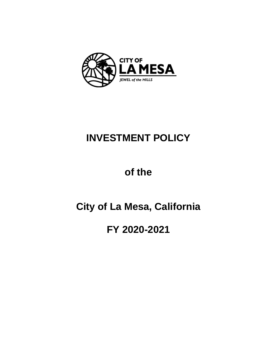

# **INVESTMENT POLICY**

# **of the**

# **City of La Mesa, California**

# **FY 2020-2021**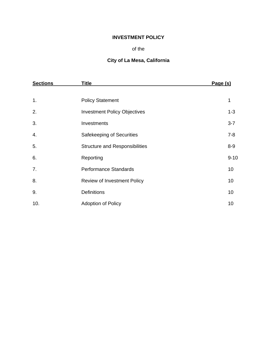# **INVESTMENT POLICY**

#### of the

# **City of La Mesa, California**

| <b>Sections</b> | Title                                 | Page (s) |
|-----------------|---------------------------------------|----------|
|                 |                                       |          |
| 1.              | <b>Policy Statement</b>               | 1        |
| 2.              | <b>Investment Policy Objectives</b>   | $1 - 3$  |
| 3.              | Investments                           | $3 - 7$  |
| 4.              | Safekeeping of Securities             | $7 - 8$  |
| 5.              | <b>Structure and Responsibilities</b> | $8-9$    |
| 6.              | Reporting                             | $9 - 10$ |
| 7.              | <b>Performance Standards</b>          | 10       |
| 8.              | Review of Investment Policy           | 10       |
| 9.              | <b>Definitions</b>                    | 10       |
| 10.             | <b>Adoption of Policy</b>             | 10       |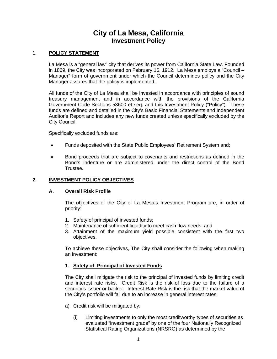# **City of La Mesa, California Investment Policy**

#### **1. POLICY STATEMENT**

La Mesa is a "general law" city that derives its power from California State Law. Founded in 1869, the City was incorporated on February 16, 1912. La Mesa employs a "Council – Manager" form of government under which the Council determines policy and the City Manager assures that the policy is implemented.

All funds of the City of La Mesa shall be invested in accordance with principles of sound treasury management and in accordance with the provisions of the California Government Code Sections 53600 et seq. and this Investment Policy ("Policy"). These funds are defined and detailed in the City's Basic Financial Statements and Independent Auditor's Report and includes any new funds created unless specifically excluded by the City Council.

Specifically excluded funds are:

- Funds deposited with the State Public Employees' Retirement System and;
- Bond proceeds that are subject to covenants and restrictions as defined in the Bond's indenture or are administered under the direct control of the Bond Trustee.

#### **2. INVESTMENT POLICY OBJECTIVES**

#### **A. Overall Risk Profile**

The objectives of the City of La Mesa's Investment Program are, in order of priority:

- 1. Safety of principal of invested funds;
- 2. Maintenance of sufficient liquidity to meet cash flow needs; and
- 3. Attainment of the maximum yield possible consistent with the first two objectives.

To achieve these objectives, The City shall consider the following when making an investment:

#### **1. Safety of Principal of Invested Funds**

The City shall mitigate the risk to the principal of invested funds by limiting credit and interest rate risks. Credit Risk is the risk of loss due to the failure of a security's issuer or backer. Interest Rate Risk is the risk that the market value of the City's portfolio will fall due to an increase in general interest rates.

- a) Credit risk will be mitigated by:
	- (i) Limiting investments to only the most creditworthy types of securities as evaluated "investment grade" by one of the four Nationally Recognized Statistical Rating Organizations (NRSRO) as determined by the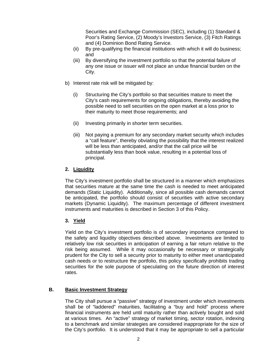Securities and Exchange Commission (SEC), including (1) Standard & Poor's Rating Service, (2) Moody's Investors Service, (3) Fitch Ratings and (4) Dominion Bond Rating Service.

- (ii) By pre-qualifying the financial institutions with which it will do business; and
- (iii) By diversifying the investment portfolio so that the potential failure of any one issue or issuer will not place an undue financial burden on the City.
- b) Interest rate risk will be mitigated by:
	- (i) Structuring the City's portfolio so that securities mature to meet the City's cash requirements for ongoing obligations, thereby avoiding the possible need to sell securities on the open market at a loss prior to their maturity to meet those requirements; and
	- (ii) Investing primarily in shorter term securities.
	- (iii) Not paying a premium for any secondary market security which includes a "call feature", thereby obviating the possibility that the interest realized will be less than anticipated, and/or that the call price will be substantially less than book value, resulting in a potential loss of principal.

## **2. Liquidity**

The City's investment portfolio shall be structured in a manner which emphasizes that securities mature at the same time the cash is needed to meet anticipated demands (Static Liquidity). Additionally, since all possible cash demands cannot be anticipated, the portfolio should consist of securities with active secondary markets (Dynamic Liquidity). The maximum percentage of different investment instruments and maturities is described in Section 3 of this Policy.

## **3. Yield**

Yield on the City's investment portfolio is of secondary importance compared to the safety and liquidity objectives described above. Investments are limited to relatively low risk securities in anticipation of earning a fair return relative to the risk being assumed. While it may occasionally be necessary or strategically prudent for the City to sell a security prior to maturity to either meet unanticipated cash needs or to restructure the portfolio, this policy specifically prohibits trading securities for the sole purpose of speculating on the future direction of interest rates.

## **B. Basic Investment Strategy**

The City shall pursue a "passive" strategy of investment under which investments shall be of "laddered" maturities, facilitating a "buy and hold" process where financial instruments are held until maturity rather than actively bought and sold at various times. An "active" strategy of market timing, sector rotation, indexing to a benchmark and similar strategies are considered inappropriate for the size of the City's portfolio. It is understood that it may be appropriate to sell a particular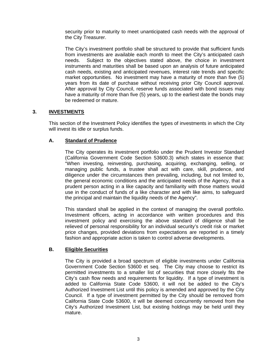security prior to maturity to meet unanticipated cash needs with the approval of the City Treasurer.

The City's investment portfolio shall be structured to provide that sufficient funds from investments are available each month to meet the City's anticipated cash needs. Subject to the objectives stated above, the choice in investment instruments and maturities shall be based upon an analysis of future anticipated cash needs, existing and anticipated revenues, interest rate trends and specific market opportunities. No investment may have a maturity of more than five (5) years from its date of purchase without receiving prior City Council approval. After approval by City Council, reserve funds associated with bond issues may have a maturity of more than five (5) years, up to the earliest date the bonds may be redeemed or mature.

## **3. INVESTMENTS**

This section of the Investment Policy identifies the types of investments in which the City will invest its idle or surplus funds.

## **A. Standard of Prudence**

The City operates its investment portfolio under the Prudent Investor Standard (California Government Code Section 53600.3) which states in essence that: "When investing, reinvesting, purchasing, acquiring, exchanging, selling, or managing public funds, a trustee shall act with care, skill, prudence, and diligence under the circumstances then prevailing, including, but not limited to, the general economic conditions and the anticipated needs of the Agency, that a prudent person acting in a like capacity and familiarity with those matters would use in the conduct of funds of a like character and with like aims, to safeguard the principal and maintain the liquidity needs of the Agency".

This standard shall be applied in the context of managing the overall portfolio. Investment officers, acting in accordance with written procedures and this investment policy and exercising the above standard of diligence shall be relieved of personal responsibility for an individual security's credit risk or market price changes, provided deviations from expectations are reported in a timely fashion and appropriate action is taken to control adverse developments.

## **B. Eligible Securities**

The City is provided a broad spectrum of eligible investments under California Government Code Section 53600 et seq. The City may choose to restrict its permitted investments to a smaller list of securities that more closely fits the City's cash flow needs and requirements for liquidity. If a type of investment is added to California State Code 53600, it will not be added to the City's Authorized Investment List until this policy is amended and approved by the City Council. If a type of investment permitted by the City should be removed from California State Code 53600, it will be deemed concurrently removed from the City's Authorized Investment List, but existing holdings may be held until they mature.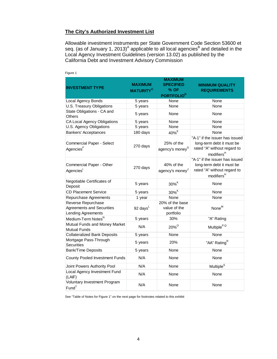#### **The City's Authorized Investment List**

Allowable investment instruments per State Government Code Section 53600 et seq. (as of January 1, 2013)<sup>A</sup> applicable to all local agencies<sup>B</sup> and detailed in the Local Agency Investment Guidelines (version 13.02) as published by the California Debt and Investment Advisory Commission

| <b>INVESTMENT TYPE</b>                                                       | <b>MAXIMUM</b><br><b>MATURITY<sup>C</sup></b> | <b>MAXIMUM</b><br><b>SPECIFIED</b><br>% OF<br><b>PORTFOLIO<sup>D</sup></b> | <b>MINIMUM QUALITY</b><br><b>REQUIREMENTS</b>                                                                        |  |  |  |
|------------------------------------------------------------------------------|-----------------------------------------------|----------------------------------------------------------------------------|----------------------------------------------------------------------------------------------------------------------|--|--|--|
| Local Agency Bonds                                                           | 5 years                                       | None                                                                       | None                                                                                                                 |  |  |  |
| U.S. Treasury Obligations                                                    | 5 years                                       | None                                                                       | None                                                                                                                 |  |  |  |
| State Obligations - CA and<br><b>Others</b>                                  | 5 years                                       | None                                                                       | None                                                                                                                 |  |  |  |
| CA Local Agency Obligations                                                  | 5 years                                       | None                                                                       | None                                                                                                                 |  |  |  |
| U.S. Agency Obligations                                                      | 5 years                                       | None                                                                       | None                                                                                                                 |  |  |  |
| <b>Bankers' Acceptances</b>                                                  | 180 days                                      | 40% <sup>E</sup>                                                           | None                                                                                                                 |  |  |  |
| <b>Commercial Paper - Select</b><br>Agencies <sup>F</sup>                    | 270 days                                      | 25% of the<br>agency's money <sup>G</sup>                                  | "A-1" if the issuer has issued<br>long-term debt it must be<br>rated "A" without regard to<br>modifiers <sup>H</sup> |  |  |  |
| Commercial Paper - Other<br>Agencies <sup>1</sup>                            | 270 days                                      | 40% of the<br>agency's money                                               | "A-1" if the issuer has issued<br>long-term debt it must be<br>rated "A" without regard to<br>modifiers <sup>H</sup> |  |  |  |
| Negotiable Certificates of<br>Deposit                                        | 5 years                                       | $30\%$ K                                                                   | None                                                                                                                 |  |  |  |
| <b>CD Placement Service</b>                                                  | 5 years                                       | $30\%$ <sup>K</sup>                                                        | None                                                                                                                 |  |  |  |
| Repurchase Agreements                                                        | 1 year                                        | None                                                                       | None                                                                                                                 |  |  |  |
| Reverse Repurchase<br><b>Agreements and Securities</b><br>Lending Agreements | 92 days $L$                                   | 20% of the base<br>value of the<br>portfolio                               | None <sup>M</sup>                                                                                                    |  |  |  |
| Medium-Term Notes <sup>N</sup>                                               | 5 years                                       | 30%                                                                        | "A" Rating                                                                                                           |  |  |  |
| Mutual Funds and Money Market<br><b>Mutual Funds</b>                         | N/A                                           | 20% <sup>o</sup>                                                           | Multiple <sup>P,Q</sup>                                                                                              |  |  |  |
| <b>Collateralized Bank Deposits</b>                                          | 5 years                                       | None                                                                       | None                                                                                                                 |  |  |  |
| Mortgage Pass-Through<br><b>Securities</b>                                   | 5 years                                       | 20%                                                                        | "AA" Rating <sup>R</sup>                                                                                             |  |  |  |
| Bank/Time Deposits                                                           | 5 years                                       | None                                                                       | None                                                                                                                 |  |  |  |
| <b>County Pooled Investment Funds</b>                                        | N/A                                           | None                                                                       | None                                                                                                                 |  |  |  |
| Joint Powers Authority Pool                                                  | N/A                                           | None                                                                       | Multiple <sup>S</sup>                                                                                                |  |  |  |
| Local Agency Investment Fund<br>(LAIF)                                       | N/A                                           | None                                                                       | None                                                                                                                 |  |  |  |
| Voluntary Investment Program<br>Fund <sup>T</sup>                            | N/A                                           | None                                                                       | None                                                                                                                 |  |  |  |

#### Figure 1

See "Table of Notes for Figure 1" on the next page for footnotes related to this exhibit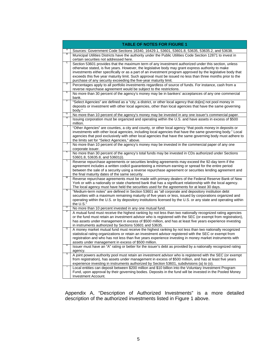|         | <b>TABLE OF NOTES FOR FIGURE 1</b>                                                                                                                                                                                                                                                                                                                                                                                                                                                                          |
|---------|-------------------------------------------------------------------------------------------------------------------------------------------------------------------------------------------------------------------------------------------------------------------------------------------------------------------------------------------------------------------------------------------------------------------------------------------------------------------------------------------------------------|
|         | Sources: Government Code Sections 16340, 16429.1, 53601, 53601.8, 53635, 53635.2, and 53638.                                                                                                                                                                                                                                                                                                                                                                                                                |
| В       | Municipal Utilities Districts have the authority under the Public Utilities Code Section 12871 to invest in<br>certain securities not addressed here.                                                                                                                                                                                                                                                                                                                                                       |
|         | Section 53601 provides that the maximum term of any investment authorized under this section, unless<br>otherwise stated, is five years. However, the legislative body may grant express authority to make<br>investments either specifically or as a part of an investment program approved by the legislative body that<br>exceeds this five year maturity limit. Such approval must be issued no less than three months prior to the<br>purchase of any security exceeding the five-year maturity limit. |
| D       | Percentages apply to all portfolio investments regardless of source of funds. For instance, cash from a<br>reverse repurchase agreement would be subject to the restrictions.                                                                                                                                                                                                                                                                                                                               |
| Ε       | No more than 30 percent of the agency's money may be in bankers' acceptances of any one commercial<br>bank.                                                                                                                                                                                                                                                                                                                                                                                                 |
|         | "Select Agencies" are defined as a "city, a district, or other local agency that do[es] not pool money in<br>deposits or investment with other local agencies, other than local agencies that have the same governing<br>body."                                                                                                                                                                                                                                                                             |
| G       | No more than 10 percent of the agency's money may be invested in any one issuer's commercial paper.                                                                                                                                                                                                                                                                                                                                                                                                         |
|         | Issuing corporation must be organized and operating within the U.S. and have assets in excess of \$500<br>million.                                                                                                                                                                                                                                                                                                                                                                                          |
|         | "Other Agencies" are counties, a city and county, or other local agency "that pools money in deposits or<br>investments with other local agencies, including local agencies that have the same governing body." Local<br>agencies that pool exclusively with other local agencies that have the same governing body must adhere to<br>the limits set for "Select Agencies," above.                                                                                                                          |
| J       | No more than 10 percent of the agency's money may be invested in the commercial paper of any one<br>corporate issuer.                                                                                                                                                                                                                                                                                                                                                                                       |
| κ       | No more than 30 percent of the agency's total funds may be invested in CDs authorized under Sections<br>53601.8, 53635.8, and 53601(i).                                                                                                                                                                                                                                                                                                                                                                     |
| τ       | Reverse repurchase agreements or securities lending agreements may exceed the 92-day term if the<br>agreement includes a written codicil guaranteeing a minimum earning or spread for the entire period<br>between the sale of a security using a reverse repurchase agreement or securities lending agreement and<br>the final maturity dates of the same security.                                                                                                                                        |
| Μ       | Reverse repurchase agreements must be made with primary dealers of the Federal Reserve Bank of New<br>York or with a nationally or state chartered bank that has a significant relationship with the local agency.<br>The local agency must have held the securities used for the agreements for at least 30 days.                                                                                                                                                                                          |
| Ν       | "Medium-term notes" are defined in Section 53601 as "all corporate and depository institution debt<br>securities with a maximum remaining maturity of five years or less, issued by corporations organized and<br>operating within the U.S. or by depository institutions licensed by the U.S. or any state and operating within<br>the U.S."                                                                                                                                                               |
| $\circ$ | No more than 10 percent invested in any one mutual fund.                                                                                                                                                                                                                                                                                                                                                                                                                                                    |
|         | A mutual fund must receive the highest ranking by not less than two nationally recognized rating agencies<br>or the fund must retain an investment advisor who is registered with the SEC (or exempt from registration),<br>has assets under management in excess of \$500 million, and has at least five years experience investing<br>in instruments authorized by Sections 53601 and 53635.                                                                                                              |
| Q       | A money market mutual fund must receive the highest ranking by not less than two nationally recognized<br>statistical rating organizations or retain an investment advisor registered with the SEC or exempt from<br>registration and who has not less than five years experience investing in money market instruments with<br>assets under management in excess of \$500 million.                                                                                                                         |
|         | Issuer must have an "A" rating or better for the issuer's debt as provided by a nationally recognized rating<br>agency.                                                                                                                                                                                                                                                                                                                                                                                     |
|         | A joint powers authority pool must retain an investment advisor who is registered with the SEC (or exempt<br>from registration), has assets under management in excess of \$500 million, and has at least five years<br>experience investing in instruments authorized by Section 53601, subdivisions (a) to (o).                                                                                                                                                                                           |
|         | Local entities can deposit between \$200 million and \$10 billion into the Voluntary Investment Program<br>Fund, upon approval by their governing bodies. Deposits in the fund will be invested in the Pooled Money<br>Investment Account.                                                                                                                                                                                                                                                                  |

Appendix A, "Description of Authorized Investments" is a more detailed description of the authorized investments listed in Figure 1 above.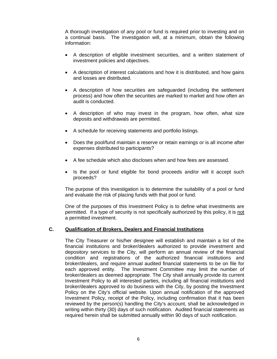A thorough investigation of any pool or fund is required prior to investing and on a continual basis. The investigation will, at a minimum, obtain the following information:

- A description of eligible investment securities, and a written statement of investment policies and objectives.
- A description of interest calculations and how it is distributed, and how gains and losses are distributed.
- A description of how securities are safeguarded (including the settlement process) and how often the securities are marked to market and how often an audit is conducted.
- A description of who may invest in the program, how often, what size deposits and withdrawals are permitted.
- A schedule for receiving statements and portfolio listings.
- Does the pool/fund maintain a reserve or retain earnings or is all income after expenses distributed to participants?
- A fee schedule which also discloses when and how fees are assessed.
- Is the pool or fund eligible for bond proceeds and/or will it accept such proceeds?

The purpose of this investigation is to determine the suitability of a pool or fund and evaluate the risk of placing funds with that pool or fund.

One of the purposes of this Investment Policy is to define what investments are permitted. If a type of security is not specifically authorized by this policy, it is not a permitted investment.

#### **C. Qualification of Brokers, Dealers and Financial Institutions**

The City Treasurer or his/her designee will establish and maintain a list of the financial institutions and broker/dealers authorized to provide investment and depository services to the City, will perform an annual review of the financial condition and registrations of the authorized financial institutions and broker/dealers, and require annual audited financial statements to be on file for each approved entity. The Investment Committee may limit the number of broker/dealers as deemed appropriate. The City shall annually provide its current Investment Policy to all interested parties, including all financial institutions and broker/dealers approved to do business with the City, by posting the Investment Policy on the City's official website. Upon annual notification of the approved Investment Policy, receipt of the Policy, including confirmation that it has been reviewed by the person(s) handling the City's account, shall be acknowledged in writing within thirty (30) days of such notification. Audited financial statements as required herein shall be submitted annually within 90 days of such notification.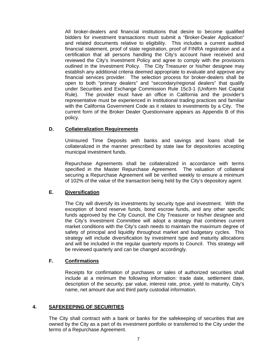All broker-dealers and financial institutions that desire to become qualified bidders for investment transactions must submit a "Broker-Dealer Application" and related documents relative to eligibility. This includes a current audited financial statement, proof of state registration, proof of FINRA registration and a certification that all persons handling the City's account have received and reviewed the City's Investment Policy and agree to comply with the provisions outlined in the Investment Policy. The City Treasurer or his/her designee may establish any additional criteria deemed appropriate to evaluate and approve any financial services provider. The selection process for broker-dealers shall be open to both "primary dealers" and "secondary/regional dealers" that qualify under Securities and Exchange Commission Rule 15c3-1 (Uniform Net Capital Rule). The provider must have an office in California and the provider's representative must be experienced in institutional trading practices and familiar with the California Government Code as it relates to investments by a City. The current form of the Broker Dealer Questionnaire appears as Appendix B of this policy.

## **D. Collateralization Requirements**

Uninsured Time Deposits with banks and savings and loans shall be collateralized in the manner prescribed by state law for depositories accepting municipal investment funds.

Repurchase Agreements shall be collateralized in accordance with terms specified in the Master Repurchase Agreement. The valuation of collateral securing a Repurchase Agreement will be verified weekly to ensure a minimum of 102% of the value of the transaction being held by the City's depository agent.

# **E. Diversification**

The City will diversify its investments by security type and investment. With the exception of bond reserve funds, bond escrow funds, and any other specific funds approved by the City Council, the City Treasurer or his/her designee and the City's Investment Committee will adopt a strategy that combines current market conditions with the City's cash needs to maintain the maximum degree of safety of principal and liquidity throughout market and budgetary cycles. This strategy will include diversification by investment type and maturity allocations and will be included in the regular quarterly reports to Council. This strategy will be reviewed quarterly and can be changed accordingly.

## **F. Confirmations**

Receipts for confirmation of purchases or sales of authorized securities shall include at a minimum the following information: trade date, settlement date, description of the security, par value, interest rate, price, yield to maturity, City's name, net amount due and third party custodial information.

## **4. SAFEKEEPING OF SECURITIES**

The City shall contract with a bank or banks for the safekeeping of securities that are owned by the City as a part of its investment portfolio or transferred to the City under the terms of a Repurchase Agreement.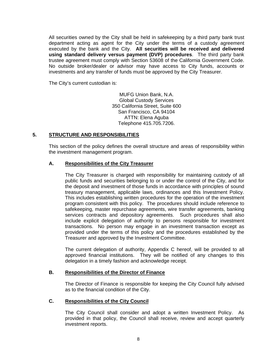All securities owned by the City shall be held in safekeeping by a third party bank trust department acting as agent for the City under the terms of a custody agreement executed by the bank and the City. **All securities will be received and delivered using standard delivery versus payment (DVP) procedures**. The third party bank trustee agreement must comply with Section 53608 of the California Government Code. No outside broker/dealer or advisor may have access to City funds, accounts or investments and any transfer of funds must be approved by the City Treasurer.

The City's current custodian is:

MUFG Union Bank, N.A. Global Custody Services 350 California Street, Suite 600 San Francisco, CA 94104 ATTN: Elena Aguba Telephone 415.705.7206.

#### **5. STRUCTURE AND RESPONSIBILITIES**

This section of the policy defines the overall structure and areas of responsibility within the investment management program.

#### **A. Responsibilities of the City Treasurer**

The City Treasurer is charged with responsibility for maintaining custody of all public funds and securities belonging to or under the control of the City, and for the deposit and investment of those funds in accordance with principles of sound treasury management, applicable laws, ordinances and this Investment Policy. This includes establishing written procedures for the operation of the investment program consistent with this policy. The procedures should include reference to safekeeping, master repurchase agreements, wire transfer agreements, banking services contracts and depository agreements. Such procedures shall also include explicit delegation of authority to persons responsible for investment transactions. No person may engage in an investment transaction except as provided under the terms of this policy and the procedures established by the Treasurer and approved by the Investment Committee.

The current delegation of authority, Appendix C hereof, will be provided to all approved financial institutions. They will be notified of any changes to this delegation in a timely fashion and acknowledge receipt.

#### **B. Responsibilities of the Director of Finance**

The Director of Finance is responsible for keeping the City Council fully advised as to the financial condition of the City.

#### **C. Responsibilities of the City Council**

The City Council shall consider and adopt a written Investment Policy. As provided in that policy, the Council shall receive, review and accept quarterly investment reports.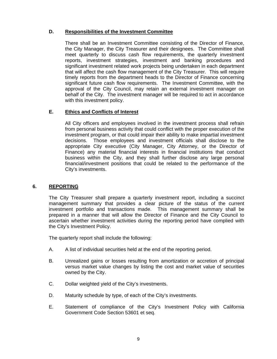# **D. Responsibilities of the Investment Committee**

There shall be an Investment Committee consisting of the Director of Finance, the City Manager, the City Treasurer and their designees. The Committee shall meet quarterly to discuss cash flow requirements, the quarterly investment reports, investment strategies, investment and banking procedures and significant investment related work projects being undertaken in each department that will affect the cash flow management of the City Treasurer. This will require timely reports from the department heads to the Director of Finance concerning significant future cash flow requirements. The Investment Committee, with the approval of the City Council, may retain an external investment manager on behalf of the City. The investment manager will be required to act in accordance with this investment policy.

## **E. Ethics and Conflicts of Interest**

All City officers and employees involved in the investment process shall refrain from personal business activity that could conflict with the proper execution of the investment program, or that could impair their ability to make impartial investment decisions. Those employees and investment officials shall disclose to the appropriate City executive (City Manager, City Attorney, or the Director of Finance) any material financial interests in financial institutions that conduct business within the City, and they shall further disclose any large personal financial/investment positions that could be related to the performance of the City's investments.

## **6. REPORTING**

The City Treasurer shall prepare a quarterly investment report, including a succinct management summary that provides a clear picture of the status of the current investment portfolio and transactions made. This management summary shall be prepared in a manner that will allow the Director of Finance and the City Council to ascertain whether investment activities during the reporting period have complied with the City's Investment Policy.

The quarterly report shall include the following:

- A. A list of individual securities held at the end of the reporting period.
- B. Unrealized gains or losses resulting from amortization or accretion of principal versus market value changes by listing the cost and market value of securities owned by the City.
- C. Dollar weighted yield of the City's investments.
- D. Maturity schedule by type, of each of the City's investments.
- E. Statement of compliance of the City's Investment Policy with California Government Code Section 53601 et seq.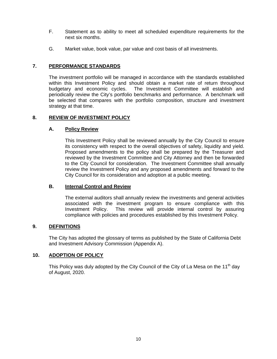- F. Statement as to ability to meet all scheduled expenditure requirements for the next six months.
- G. Market value, book value, par value and cost basis of all investments.

## **7. PERFORMANCE STANDARDS**

The investment portfolio will be managed in accordance with the standards established within this Investment Policy and should obtain a market rate of return throughout budgetary and economic cycles. The Investment Committee will establish and periodically review the City's portfolio benchmarks and performance. A benchmark will be selected that compares with the portfolio composition, structure and investment strategy at that time.

## **8. REVIEW OF INVESTMENT POLICY**

## **A. Policy Review**

This Investment Policy shall be reviewed annually by the City Council to ensure its consistency with respect to the overall objectives of safety, liquidity and yield. Proposed amendments to the policy shall be prepared by the Treasurer and reviewed by the Investment Committee and City Attorney and then be forwarded to the City Council for consideration. The Investment Committee shall annually review the Investment Policy and any proposed amendments and forward to the City Council for its consideration and adoption at a public meeting.

## **B. Internal Control and Review**

The external auditors shall annually review the investments and general activities associated with the investment program to ensure compliance with this Investment Policy. This review will provide internal control by assuring compliance with policies and procedures established by this Investment Policy.

## **9. DEFINITIONS**

The City has adopted the glossary of terms as published by the State of California Debt and Investment Advisory Commission (Appendix A).

## **10. ADOPTION OF POLICY**

This Policy was duly adopted by the City Council of the City of La Mesa on the 11<sup>th</sup> day of August, 2020.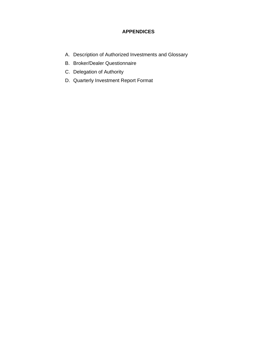# **APPENDICES**

- A. Description of Authorized Investments and Glossary
- B. Broker/Dealer Questionnaire
- C. Delegation of Authority
- D. Quarterly Investment Report Format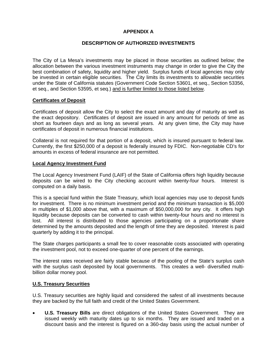# **APPENDIX A**

#### **DESCRIPTION OF AUTHORIZED INVESTMENTS**

The City of La Mesa's investments may be placed in those securities as outlined below; the allocation between the various investment instruments may change in order to give the City the best combination of safety, liquidity and higher yield. Surplus funds of local agencies may only be invested in certain eligible securities. The City limits its investments to allowable securities under the State of California statutes (Government Code Section 53601, et seq., Section 53356, et seq., and Section 53595, et seq.) and is further limited to those listed below.

#### **Certificates of Deposit**

Certificates of deposit allow the City to select the exact amount and day of maturity as well as the exact depository. Certificates of deposit are issued in any amount for periods of time as short as fourteen days and as long as several years. At any given time, the City may have certificates of deposit in numerous financial institutions.

Collateral is not required for that portion of a deposit, which is insured pursuant to federal law. Currently, the first \$250,000 of a deposit is federally insured by FDIC. Non-negotiable CD's for amounts in excess of federal insurance are not permitted.

#### **Local Agency Investment Fund**

The Local Agency Investment Fund (LAIF) of the State of California offers high liquidity because deposits can be wired to the City checking account within twenty-four hours. Interest is computed on a daily basis.

This is a special fund within the State Treasury, which local agencies may use to deposit funds for investment. There is no minimum investment period and the minimum transaction is \$5,000 in multiples of \$1,000 above that, with a maximum of \$50,000,000 for any city. It offers high liquidity because deposits can be converted to cash within twenty-four hours and no interest is lost. All interest is distributed to those agencies participating on a proportionate share determined by the amounts deposited and the length of time they are deposited. Interest is paid quarterly by adding it to the principal.

The State charges participants a small fee to cover reasonable costs associated with operating the investment pool, not to exceed one-quarter of one percent of the earnings.

The interest rates received are fairly stable because of the pooling of the State's surplus cash with the surplus cash deposited by local governments. This creates a well- diversified multibillion dollar money pool.

#### **U.S. Treasury Securities**

U.S. Treasury securities are highly liquid and considered the safest of all investments because they are backed by the full faith and credit of the United States Government.

 **U.S. Treasury Bills** are direct obligations of the United States Government. They are issued weekly with maturity dates up to six months. They are issued and traded on a discount basis and the interest is figured on a 360-day basis using the actual number of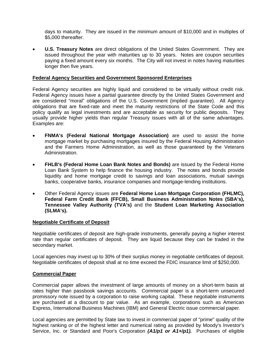days to maturity. They are issued in the minimum amount of \$10,000 and in multiples of \$5,000 thereafter.

 **U.S. Treasury Notes** are direct obligations of the United States Government. They are issued throughout the year with maturities up to 30 years. Notes are coupon securities paying a fixed amount every six months. The City will not invest in notes having maturities longer then five years.

#### **Federal Agency Securities and Government Sponsored Enterprises**

Federal Agency securities are highly liquid and considered to be virtually without credit risk. Federal Agency issues have a partial guarantee directly by the United States Government and are considered "moral" obligations of the U.S. Government (implied guarantee). All Agency obligations that are fixed-rate and meet the maturity restrictions of the State Code and this policy qualify as legal investments and are acceptable as security for public deposits. They usually provide higher yields than regular Treasury issues with all of the same advantages. Examples are:

- **FNMA's (Federal National Mortgage Association)** are used to assist the home mortgage market by purchasing mortgages insured by the Federal Housing Administration and the Farmers Home Administration, as well as those guaranteed by the Veterans Administration.
- **FHLB's (Federal Home Loan Bank Notes and Bonds)** are issued by the Federal Home Loan Bank System to help finance the housing industry. The notes and bonds provide liquidity and home mortgage credit to savings and loan associations, mutual savings banks, cooperative banks, insurance companies and mortgage-lending institutions.
- Other Federal Agency issues are **Federal Home Loan Mortgage Corporation (FHLMC), Federal Farm Credit Bank (FFCB), Small Business Administration Notes (SBA's), Tennessee Valley Authority (TVA's)** and the **Student Loan Marketing Association (SLMA's).**

#### **Negotiable Certificate of Deposit**

Negotiable certificates of deposit are high-grade instruments, generally paying a higher interest rate than regular certificates of deposit. They are liquid because they can be traded in the secondary market.

Local agencies may invest up to 30% of their surplus money in negotiable certificates of deposit. Negotiable certificates of deposit shall at no time exceed the FDIC insurance limit of \$250,000.

#### **Commercial Paper**

Commercial paper allows the investment of large amounts of money on a short-term basis at rates higher than passbook savings accounts. Commercial paper is a short-term unsecured promissory note issued by a corporation to raise working capital. These negotiable instruments are purchased at a discount to par value. As an example, corporations such as American Express, International Business Machines (IBM) and General Electric issue commercial paper.

Local agencies are permitted by State law to invest in commercial paper of "prime" quality of the highest ranking or of the highest letter and numerical rating as provided by Moody's Investor's Service, Inc. or Standard and Poor's Corporation *(A1/p1 or A1+/p1).* Purchases of eligible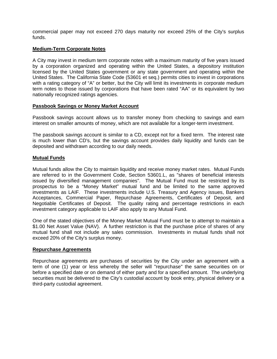commercial paper may not exceed 270 days maturity nor exceed 25% of the City's surplus funds.

#### **Medium-Term Corporate Notes**

A City may invest in medium term corporate notes with a maximum maturity of five years issued by a corporation organized and operating within the United States, a depository institution licensed by the United States government or any state government and operating within the United States. The California State Code (53601 et seq.) permits cities to invest in corporations with a rating category of "A" or better, but the City will limit its investments in corporate medium term notes to those issued by corporations that have been rated "AA" or its equivalent by two nationally recognized ratings agencies.

#### **Passbook Savings or Money Market Account**

Passbook savings account allows us to transfer money from checking to savings and earn interest on smaller amounts of money, which are not available for a longer-term investment.

The passbook savings account is similar to a CD, except not for a fixed term. The interest rate is much lower than CD's, but the savings account provides daily liquidity and funds can be deposited and withdrawn according to our daily needs.

#### **Mutual Funds**

Mutual funds allow the City to maintain liquidity and receive money market rates. Mutual Funds are referred to in the Government Code, Section 53601.L, as "shares of beneficial interests issued by diversified management companies". The Mutual Fund must be restricted by its prospectus to be a "Money Market" mutual fund and be limited to the same approved investments as LAIF. These investments include U.S. Treasury and Agency issues, Bankers Acceptances, Commercial Paper, Repurchase Agreements, Certificates of Deposit, and Negotiable Certificates of Deposit. The quality rating and percentage restrictions in each investment category applicable to LAIF also apply to any Mutual Fund.

One of the stated objectives of the Money Market Mutual Fund must be to attempt to maintain a \$1.00 Net Asset Value (NAV). A further restriction is that the purchase price of shares of any mutual fund shall not include any sales commission. Investments in mutual funds shall not exceed 20% of the City's surplus money.

#### **Repurchase Agreements**

Repurchase agreements are purchases of securities by the City under an agreement with a term of one (1) year or less whereby the seller will "repurchase" the same securities on or before a specified date or on demand of either party and for a specified amount. The underlying securities must be delivered to the City's custodial account by book entry, physical delivery or a third-party custodial agreement.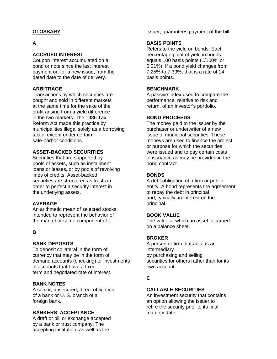# **GLOSSARY**

# **A**

#### **ACCRUED INTEREST**

Coupon interest accumulated on a bond or note since the last interest payment or, for a new issue, from the dated date to the date of delivery.

#### **ARBITRAGE**

Transactions by which securities are bought and sold in different markets at the same time for the sake of the profit arising from a yield difference in the two markets. The 1986 Tax Reform Act made this practice by municipalities illegal solely as a borrowing tactic, except under certain safe-harbor conditions.

## **ASSET-BACKED SECURITIES**

Securities that are supported by pools of assets, such as installment loans or leases, or by pools of revolving lines of credits. Asset-backed securities are structured as trusts in order to perfect a security interest in the underlying assets.

## **AVERAGE**

An arithmetic mean of selected stocks intended to represent the behavior of the market or some component of it.

## **B**

#### **BANK DEPOSITS**

To deposit collateral in the form of currency that may be in the form of demand accounts (checking) or investments in accounts that have a fixed term and negotiated rate of interest.

#### **BANK NOTES**

A senior, unsecured, direct obligation of a bank or U. S. branch of a foreign bank.

#### **BANKERS' ACCEPTANCE**

A draft or bill or exchange accepted by a bank or trust company. The accepting institution, as well as the

issuer, guarantees payment of the bill.

#### **BASIS POINTS**

Refers to the yield on bonds. Each percentage point of yield in bonds equals 100 basis points (1/100% or 0.01%). If a bond yield changes from 7.25% to 7.39%, that is a rate of 14 basis points.

#### **BENCHMARK**

A passive index used to compare the performance, relative to risk and return, of an investor's portfolio.

#### **BOND PROCEEDS**

The money paid to the issuer by the purchaser or underwriter of a new issue of municipal securities. These moneys are used to finance the project or purpose for which the securities were issued and to pay certain costs of issuance as may be provided in the bond contract.

#### **BONDS**

A debt obligation of a firm or public entity. A bond represents the agreement to repay the debt in principal and, typically, in interest on the principal.

#### **BOOK VALUE**

The value at which an asset is carried on a balance sheet.

#### **BROKER**

A person or firm that acts as an intermediary by purchasing and selling securities for others rather than for its own account.

## **C**

## **CALLABLE SECURITIES**

An investment security that contains an option allowing the issuer to retire the security prior to its final maturity date.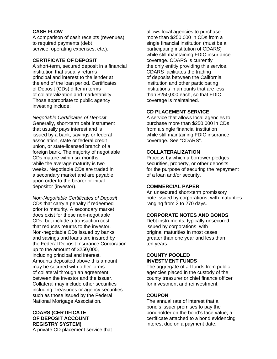## **CASH FLOW**

A comparison of cash receipts (revenues) to required payments (debt service, operating expenses, etc.).

## **CERTIFICATE OF DEPOSIT**

A short-term, secured deposit in a financial institution that usually returns principal and interest to the lender at the end of the loan period. Certificates of Deposit (CDs) differ in terms of collateralization and marketability. Those appropriate to public agency investing include:

*Negotiable Certificates of Deposit*  Generally, short-term debt instrument that usually pays interest and is issued by a bank, savings or federal association, state or federal credit union, or state-licensed branch of a foreign bank. The majority of negotiable CDs mature within six months while the average maturity is two weeks. Negotiable CDs are traded in a secondary market and are payable upon order to the bearer or initial depositor (investor).

*Non-Negotiable Certificates of Deposit*  CDs that carry a penalty if redeemed prior to maturity. A secondary market does exist for these non-negotiable CDs, but include a transaction cost that reduces returns to the investor. Non-negotiable CDs issued by banks and savings and loans are insured by the Federal Deposit Insurance Corporation up to the amount of \$250,000, including principal and interest. Amounts deposited above this amount may be secured with other forms of collateral through an agreement between the investor and the issuer. Collateral may include other securities including Treasuries or agency securities such as those issued by the Federal National Mortgage Association.

#### **CDARS (CERTIFICATE OF DEPOSIT ACCOUNT REGISTRY SYSTEM)**  A private CD placement service that

allows local agencies to purchase more than \$250,000 in CDs from a single financial institution (must be a participating institution of CDARS) while still maintaining FDIC insur ance coverage. CDARS is currently the only entitiy providing this service. CDARS facilitates the trading of deposits between the California institution and other participating institutions in amounts that are less than \$250,000 each, so that FDIC coverage is maintained.

## **CD PLACEMENT SERVICE**

A service that allows local agencies to purchase more than \$250,000 in CDs from a single financial institution while still maintaining FDIC insurance coverage. See "CDARS".

## **COLLATERALIZATION**

Process by which a borrower pledges securities, property, or other deposits for the purpose of securing the repayment of a loan and/or security.

## **COMMERCIAL PAPER**

An unsecured short-term promissory note issued by corporations, with maturities ranging from 2 to 270 days.

# **CORPORATE NOTES AND BONDS**

Debt instruments, typically unsecured, issued by corporations, with original maturities in most cases greater than one year and less than ten years.

#### **COUNTY POOLED INVESTMENT FUNDS**

The aggregate of all funds from public agencies placed in the custody of the county treasurer or chief finance officer for investment and reinvestment.

# **COUPON**

The annual rate of interest that a bond's issuer promises to pay the bondholder on the bond's face value; a certificate attached to a bond evidencing interest due on a payment date.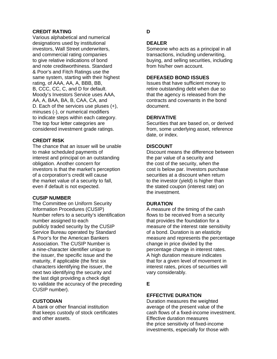## **CREDIT RATING**

Various alphabetical and numerical designations used by institutional investors, Wall Street underwriters, and commercial rating companies to give relative indications of bond and note creditworthiness. Standard & Poor's and Fitch Ratings use the same system, starting with their highest rating, of AAA, AA, A, BBB, BB, B, CCC, CC, C, and D for default. Moody's Investors Service uses AAA, AA, A, BAA, BA, B, CAA, CA, and D. Each of the services use pluses (+), minuses (-), or numerical modifiers to indicate steps within each category. The top four letter categories are considered investment grade ratings.

## **CREDIT RISK**

The chance that an issuer will be unable to make scheduled payments of interest and principal on an outstanding obligation. Another concern for investors is that the market's perception of a corporation's credit will cause the market value of a security to fall, even if default is not expected.

#### **CUSIP NUMBER**

The Committee on Uniform Security Information Procedures (CUSIP) Number refers to a security's identification number assigned to each publicly traded security by the CUSIP Service Bureau operated by Standard & Poor's for the American Bankers Association. The CUSIP Number is a nine-character identifier unique to the issuer, the specific issue and the maturity, if applicable (the first six characters identifying the issuer, the next two identifying the security and the last digit providing a check digit to validate the accuracy of the preceding CUSIP number).

## **CUSTODIAN**

A bank or other financial institution that keeps custody of stock certificates and other assets.

#### **D**

## **DEALER**

Someone who acts as a principal in all transactions, including underwriting, buying, and selling securities, including from his/her own account.

## **DEFEASED BOND ISSUES**

Issues that have sufficient money to retire outstanding debt when due so that the agency is released from the contracts and covenants in the bond document.

#### **DERIVATIVE**

Securities that are based on, or derived from, some underlying asset, reference date, or index.

#### **DISCOUNT**

Discount means the difference between the par value of a security and the cost of the security, when the cost is below par. Investors purchase securities at a discount when return to the investor (yield) is higher than the stated coupon (interest rate) on the investment.

#### **DURATION**

A measure of the timing of the cash flows to be received from a security that provides the foundation for a measure of the interest rate sensitivity of a bond. Duration is an elasticity measure and represents the percentage change in price divided by the percentage change in interest rates. A high duration measure indicates that for a given level of movement in interest rates, prices of securities will vary considerably.

# **E**

## **EFFECTIVE DURATION**

Duration measures the weighted average of the present value of the cash flows of a fixed-income investment. Effective duration measures the price sensitivity of fixed-income investments, especially for those with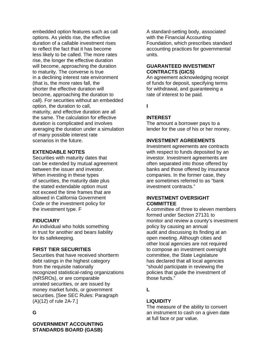embedded option features such as call options. As yields rise, the effective duration of a callable investment rises to reflect the fact that it has become less likely to be called. The more rates rise, the longer the effective duration will become, approaching the duration to maturity. The converse is true in a declining interest rate environment (that is, the more rates fall, the shorter the effective duration will become, approaching the duration to call). For securities without an embedded option, the duration to call, maturity, and effective duration are all the same. The calculation for effective duration is complicated and involves averaging the duration under a simulation of many possible interest rate scenarios in the future.

## **EXTENDABLE NOTES**

Securities with maturity dates that can be extended by mutual agreement between the issuer and investor. When investing in these types of securities, the maturity date plus the stated extendable option must not exceed the time frames that are allowed in California Government Code or the investment policy for the investment type. F

## **FIDUCIARY**

An individual who holds something in trust for another and bears liability for its safekeeping.

## **FIRST TIER SECURITIES**

Securities that have received shortterm debt ratings in the highest category from the requisite nationally recognized statistical-rating organizations (NRSROs), or are comparable unrated securities, or are issued by money market funds, or government securities. [See SEC Rules: Paragraph (A)(12) of rule 2A-7.]

# **G**

**GOVERNMENT ACCOUNTING STANDARDS BOARD (GASB)** 

A standard-setting body, associated with the Financial Accounting Foundation, which prescribes standard accounting practices for governmental units.

## **GUARANTEED INVESTMENT CONTRACTS (GICS)**

An agreement acknowledging receipt of funds for deposit, specifying terms for withdrawal, and guaranteeing a rate of interest to be paid.

**I** 

## **INTEREST**

The amount a borrower pays to a lender for the use of his or her money.

## **INVESTMENT AGREEMENTS**

Investment agreements are contracts with respect to funds deposited by an investor. Investment agreements are often separated into those offered by banks and those offered by insurance companies. In the former case, they are sometimes referred to as "bank investment contracts."

#### **INVESTMENT OVERSIGHT COMMITTEE**

A committee of three to eleven members formed under Section 27131 to monitor and review a county's investment policy by causing an annual audit and discussing its finding at an open meeting. Although cities and other local agencies are not required to compose an investment oversight committee, the State Legislature has declared that all local agencies "should participate in reviewing the policies that guide the investment of those funds."

**L** 

## **LIQUIDITY**

The measure of the ability to convert an instrument to cash on a given date at full face or par value.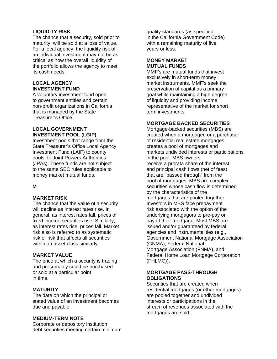## **LIQUIDITY RISK**

The chance that a security, sold prior to maturity, will be sold at a loss of value. For a local agency, the liquidity risk of an individual investment may not be as critical as how the overall liquidity of the portfolio allows the agency to meet its cash needs.

## **LOCAL AGENCY INVESTMENT FUND**

A voluntary investment fund open to government entities and certain non-profit organizations in California that is managed by the State Treasurer's Office.

# **LOCAL GOVERNMENT INVESTMENT POOL (LGIP)**

Investment pools that range from the State Treasurer's Office Local Agency Investment Fund (LAIF) to county pools, to Joint Powers Authorities (JPAs). These funds are not subject to the same SEC rules applicable to money market mutual funds.

# **M**

## **MARKET RISK**

The chance that the value of a security will decline as interest rates rise. In general, as interest rates fall, prices of fixed income securities rise. Similarly, as interest rates rise, prices fall. Market risk also is referred to as systematic risk or risk that affects all securities within an asset class similarly.

# **MARKET VALUE**

The price at which a security is trading and presumably could be purchased or sold at a particular point in time.

## **MATURITY**

The date on which the principal or stated value of an investment becomes due and payable.

## **MEDIUM-TERM NOTE**

Corporate or depository institution debt securities meeting certain minimum

quality standards (as specified in the California Government Code) with a remaining maturity of five years or less.

#### **MONEY MARKET MUTUAL FUNDS**

MMF's are mutual funds that invest exclusively in short-term money market instruments. MMF's seek the preservation of capital as a primary goal while maintaining a high degree of liquidity and providing income representative of the market for short term investments.

## **MORTGAGE BACKED SECURITIES**

Mortgage-backed securities (MBS) are created when a mortgagee or a purchaser of residential real estate mortgages creates a pool of mortgages and markets undivided interests or participations in the pool. MBS owners receive a prorata share of the interest and principal cash flows (net of fees) that are "passed through" from the pool of mortgages. MBS are complex securities whose cash flow is determined by the characteristics of the mortgages that are pooled together. Investors in MBS face prepayment risk associated with the option of the underlying mortgagors to pre-pay or payoff their mortgage. Most MBS are issued and/or guaranteed by federal agencies and instrumentalities (e.g., Government National Mortgage Association (GNMA), Federal National Mortgage Association (FNMA), and Federal Home Loan Mortgage Corporation (FHLMC)).

## **MORTGAGE PASS-THROUGH OBLIGATIONS**

Securities that are created when residential mortgages (or other mortgages) are pooled together and undivided interests or participations in the stream of revenues associated with the mortgages are sold.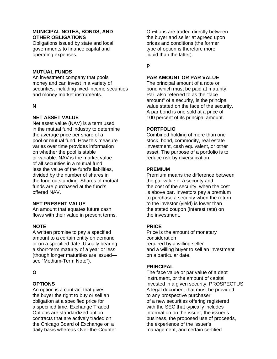## **MUNICIPAL NOTES, BONDS, AND OTHER OBLIGATIONS**

Obligations issued by state and local governments to finance capital and operating expenses.

#### **MUTUAL FUNDS**

An investment company that pools money and can invest in a variety of securities, including fixed-income securities and money market instruments.

#### **N**

## **NET ASSET VALUE**

Net asset value (NAV) is a term used in the mutual fund industry to determine the average price per share of a pool or mutual fund. How this measure varies over time provides information on whether the pool is stable or variable. NAV is the market value of all securities in a mutual fund, less the value of the fund's liabilities, divided by the number of shares in the fund outstanding. Shares of mutual funds are purchased at the fund's offered NAV.

#### **NET PRESENT VALUE**

An amount that equates future cash flows with their value in present terms.

## **NOTE**

A written promise to pay a specified amount to a certain entity on demand or on a specified date. Usually bearing a short-term maturity of a year or less (though longer maturities are issued see "Medium-Term Note").

## **O**

## **OPTIONS**

An option is a contract that gives the buyer the right to buy or sell an obligation at a specified price for a specified time. Exchange Traded Options are standardized option contracts that are actively traded on the Chicago Board of Exchange on a daily basis whereas Over-the-Counter

Op¬tions are traded directly between the buyer and seller at agreed upon prices and conditions (the former type of option is therefore more liquid than the latter).

# **P**

## **PAR AMOUNT OR PAR VALUE**

The principal amount of a note or bond which must be paid at maturity. Par, also referred to as the "face amount" of a security, is the principal value stated on the face of the security. A par bond is one sold at a price of 100 percent of its principal amount.

#### **PORTFOLIO**

Combined holding of more than one stock, bond, commodity, real estate investment, cash equivalent, or other asset. The purpose of a portfolio is to reduce risk by diversification.

#### **PREMIUM**

Premium means the difference between the par value of a security and the cost of the security, when the cost is above par. Investors pay a premium to purchase a security when the return to the investor (yield) is lower than the stated coupon (interest rate) on the investment.

#### **PRICE**

Price is the amount of monetary consideration required by a willing seller and a willing buyer to sell an investment on a particular date.

## **PRINCIPAL**

The face value or par value of a debt instrument, or the amount of capital invested in a given security. PROSPECTUS A legal document that must be provided to any prospective purchaser of a new securities offering registered with the SEC that typically includes information on the issuer, the issuer's business, the proposed use of proceeds, the experience of the issuer's management, and certain certified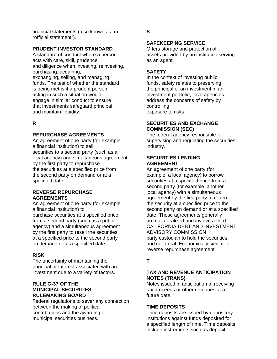financial statements (also known as an "official statement").

## **PRUDENT INVESTOR STANDARD**

A standard of conduct where a person acts with care, skill, prudence, and diligence when investing, reinvesting, purchasing, acquiring, exchanging, selling, and managing funds. The test of whether the standard is being met is if a prudent person acting in such a situation would engage in similar conduct to ensure that investments safeguard principal and maintain liquidity.

**R** 

#### **REPURCHASE AGREEMENTS**

An agreement of one party (for example, a financial institution) to sell securities to a second party (such as a local agency) and simultaneous agreement by the first party to repurchase the securities at a specified price from the second party on demand or at a specified date.

#### **REVERSE REPURCHASE AGREEMENTS**

An agreement of one party (for example, a financial institution) to purchase securities at a specified price from a second party (such as a public agency) and a simultaneous agreement by the first party to resell the securities at a specified price to the second party on demand or at a specified date.

## **RISK**

The uncertainty of maintaining the principal or interest associated with an investment due to a variety of factors.

#### **RULE G-37 OF THE MUNICIPAL SECURITIES RULEMAKING BOARD**

Federal regulations to sever any connection between the making of political contributions and the awarding of municipal securities business.

**S** 

## **SAFEKEEPING SERVICE**

Offers storage and protection of assets provided by an institution serving as an agent.

## **SAFETY**

In the context of investing public funds, safety relates to preserving the principal of an investment in an investment portfolio; local agencies address the concerns of safety by controlling exposure to risks.

## **SECURITIES AND EXCHANGE COMMISSION (SEC)**

The federal agency responsible for supervising and regulating the securities industry.

#### **SECURITIES LENDING AGREEMENT**

An agreement of one party (for example, a local agency) to borrow securities at a specified price from a second party (for example, another local agency) with a simultaneous agreement by the first party to return the security at a specified price to the second party on demand or at a specified date. These agreements generally are collateralized and involve a third CALIFORNIA DEBT AND INVESTMENT ADVISORY COMMISSION party custodian to hold the securities and collateral. Economically similar to reverse repurchase agreement.

# **T**

# **TAX AND REVENUE ANTICIPATION NOTES (TRANS)**

Notes issued in anticipation of receiving tax proceeds or other revenues at a future date.

# **TIME DEPOSITS**

Time deposits are issued by depository institutions against funds deposited for a specified length of time. Time deposits include instruments such as deposit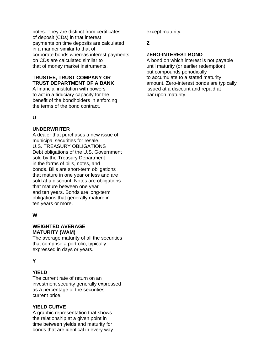notes. They are distinct from certificates of deposit (CDs) in that interest payments on time deposits are calculated in a manner similar to that of corporate bonds whereas interest payments on CDs are calculated similar to that of money market instruments.

# **TRUSTEE, TRUST COMPANY OR TRUST DEPARTMENT OF A BANK**

A financial institution with powers to act in a fiduciary capacity for the benefit of the bondholders in enforcing the terms of the bond contract.

#### **U**

#### **UNDERWRITER**

A dealer that purchases a new issue of municipal securities for resale. U.S. TREASURY OBLIGATIONS Debt obligations of the U.S. Government sold by the Treasury Department in the forms of bills, notes, and bonds. Bills are short-term obligations that mature in one year or less and are sold at a discount. Notes are obligations that mature between one year and ten years. Bonds are long-term obligations that generally mature in ten years or more.

## **W**

#### **WEIGHTED AVERAGE MATURITY (WAM)**

The average maturity of all the securities that comprise a portfolio, typically expressed in days or years.

# **Y**

## **YIELD**

The current rate of return on an investment security generally expressed as a percentage of the securities current price.

## **YIELD CURVE**

A graphic representation that shows the relationship at a given point in time between yields and maturity for bonds that are identical in every way except maturity.

# **Z**

## **ZERO-INTEREST BOND**

A bond on which interest is not payable until maturity (or earlier redemption), but compounds periodically to accumulate to a stated maturity amount. Zero-interest bonds are typically issued at a discount and repaid at par upon maturity.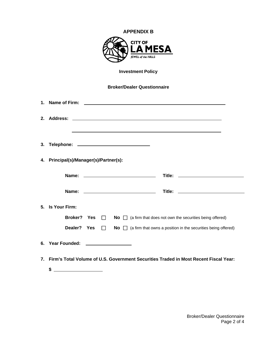| <b>APPENDIX B</b><br><b>CITY OF</b><br><b>LAMESA</b><br>JEWEL of the HILLS |                                        |  |  |                                                                                                   |  |  |  |  |
|----------------------------------------------------------------------------|----------------------------------------|--|--|---------------------------------------------------------------------------------------------------|--|--|--|--|
|                                                                            | <b>Investment Policy</b>               |  |  |                                                                                                   |  |  |  |  |
|                                                                            |                                        |  |  | <b>Broker/Dealer Questionnaire</b>                                                                |  |  |  |  |
|                                                                            |                                        |  |  |                                                                                                   |  |  |  |  |
|                                                                            |                                        |  |  |                                                                                                   |  |  |  |  |
|                                                                            | 4. Principal(s)/Manager(s)/Partner(s): |  |  |                                                                                                   |  |  |  |  |
|                                                                            |                                        |  |  |                                                                                                   |  |  |  |  |
|                                                                            |                                        |  |  |                                                                                                   |  |  |  |  |
|                                                                            | 5. Is Your Firm:                       |  |  |                                                                                                   |  |  |  |  |
|                                                                            |                                        |  |  | <b>Broker?</b> Yes $\Box$ No $\Box$ (a firm that does not own the securities being offered)       |  |  |  |  |
|                                                                            |                                        |  |  | <b>Dealer?</b> Yes $\Box$ No $\Box$ (a firm that owns a position in the securities being offered) |  |  |  |  |
|                                                                            | 6. Year Founded: ___________________   |  |  |                                                                                                   |  |  |  |  |
| 7.                                                                         |                                        |  |  | Firm's Total Volume of U.S. Government Securities Traded in Most Recent Fiscal Year:              |  |  |  |  |

**\$** 

Broker/Dealer Questionnaire Page 2 of 4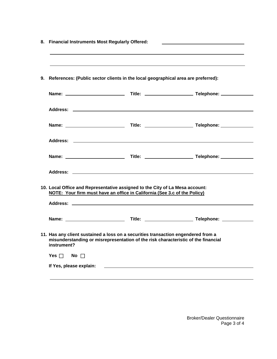|             | References: (Public sector clients in the local geographical area are preferred):                                                                                      |  |
|-------------|------------------------------------------------------------------------------------------------------------------------------------------------------------------------|--|
|             |                                                                                                                                                                        |  |
|             |                                                                                                                                                                        |  |
|             |                                                                                                                                                                        |  |
|             |                                                                                                                                                                        |  |
|             |                                                                                                                                                                        |  |
|             |                                                                                                                                                                        |  |
|             | 10. Local Office and Representative assigned to the City of La Mesa account:<br>NOTE: Your firm must have an office in California (See 3.c of the Policy)              |  |
|             |                                                                                                                                                                        |  |
|             | 11. Has any client sustained a loss on a securities transaction engendered from a<br>misunderstanding or misrepresentation of the risk characteristic of the financial |  |
| instrument? |                                                                                                                                                                        |  |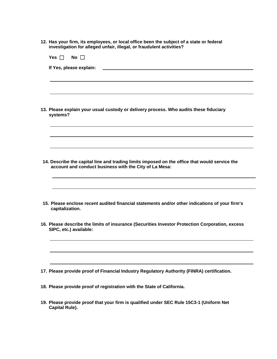**12. Has your firm, its employees, or local office been the subject of a state or federal investigation for alleged unfair, illegal, or fraudulent activities?** 

| Yes $\Box$<br>No II                                                                                                                                     |
|---------------------------------------------------------------------------------------------------------------------------------------------------------|
| If Yes, please explain:                                                                                                                                 |
|                                                                                                                                                         |
| 13. Please explain your usual custody or delivery process. Who audits these fiduciary<br>systems?                                                       |
|                                                                                                                                                         |
| 14. Describe the capital line and trading limits imposed on the office that would service the<br>account and conduct business with the City of La Mesa: |
| 15. Please enclose recent audited financial statements and/or other indications of your firm's<br>capitalization.                                       |
| 16. Please describe the limits of insurance (Securities Investor Protection Corporation, excess<br>SIPC, etc.) available:                               |
|                                                                                                                                                         |
| 17. Please provide proof of Financial Industry Regulatory Authority (FINRA) certification.                                                              |
| 18. Please provide proof of registration with the State of California.                                                                                  |
| 19. Please provide proof that your firm is qualified under SEC Rule 15C3-1 (Uniform Net                                                                 |

**Capital Rule).**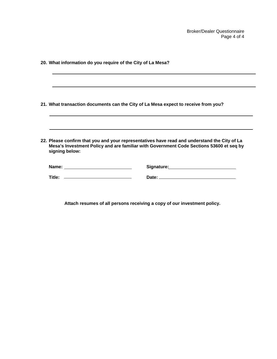Broker/Dealer Questionnaire Page 4 of 4

| 20. What information do you require of the City of La Mesa?                        |                                                                                                                                                                                         |
|------------------------------------------------------------------------------------|-----------------------------------------------------------------------------------------------------------------------------------------------------------------------------------------|
|                                                                                    |                                                                                                                                                                                         |
| 21. What transaction documents can the City of La Mesa expect to receive from you? |                                                                                                                                                                                         |
| signing below:                                                                     | 22. Please confirm that you and your representatives have read and understand the City of La<br>Mesa's Investment Policy and are familiar with Government Code Sections 53600 et seq by |
|                                                                                    | Signature: Management Signature:                                                                                                                                                        |
|                                                                                    |                                                                                                                                                                                         |

**Attach resumes of all persons receiving a copy of our investment policy.**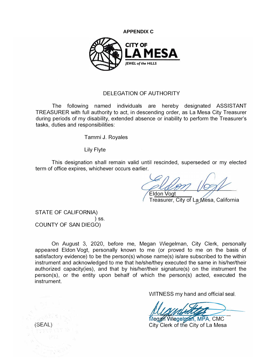



# DELEGATION OF AUTHORITY

The following named individuals are hereby designated ASSISTANT TREASURER with full authority to act, in descending order, as La Mesa City Treasurer during periods of my disability, extended absence or inability to perform the Treasurer's tasks, duties and responsibilities:

Tammi J. Royales

Lily Flyte

This designation shall remain valid until rescinded, superseded or my elected term of office expires, whichever occurs earlier.

Eldon Vogt

Treasurer, City of La Mesa, California

STATE OF CALIFORNIA) ) ss. COUNTY OF SAN DIEGO)

On August 3, 2020, before me, Megan Wiegelman, City Clerk, personally appeared Eldon Vogt, personally known to me (or proved to me on the basis of satisfactory evidence) to be the person(s) whose name(s) is/are subscribed to the within instrument and acknowledged to me that he/she/they executed the same in his/her/their authorized capacity(ies), and that by his/her/their signature(s) on the instrument the person(s), or the entity upon behalf of which the person(s) acted, executed the instrument.

WITNESS my hand and official seal.

*<u>let and</u>*<br> **eggin Wiegelman, MPA, CMC**<br>
City Clerk of the City of La Mesa

City Clerk of the City of La Mesa

(SEAL)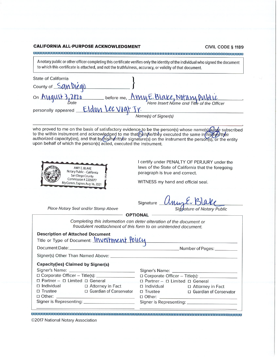#### **CALIFORNIA ALL-PURPOSE ACKNOWLEDGMENT**

CIVIL CODE § 1189

A notary public or other officer completing this certificate verifies only the identity of the individual who signed the document to which this certificate is attached, and not the truthfulness, accuracy, or validity of that document.

| State of California |                                           |
|---------------------|-------------------------------------------|
| County of San Diego |                                           |
| On August 3, 2020   | before me, AMME. Blake, Notany Public     |
| Date                | Here Insert Name and Title of the Officer |
| personally appeared | Eldon Lee vogt Jr.                        |
|                     | Name(s) of Signer(s)                      |

who proved to me on the basis of satisfactory evidence to be the person(s) whose name(s) (s) a/e subscribed<br>to the within instrument and acknowledged to me that (he/s) ne/they executed the same in (his/he/their<br>authorized upon behalf of which the person(s) acted, executed the instrument.



I certify under PENALTY OF PERJURY under the laws of the State of California that the foregoing paragraph is true and correct.

WITNESS my hand and official seal.

Signature Signature of Notary Public

Place Notary Seal and/or Stamp Above

**OPTIONAL** 

Completing this information can deter alteration of the document or fraudulent reattachment of this form to an unintended document.

|                                           | <b>Description of Attached Document</b><br>Title or Type of Document: Investment Policy |                |                                 |  |  |
|-------------------------------------------|-----------------------------------------------------------------------------------------|----------------|---------------------------------|--|--|
|                                           |                                                                                         |                |                                 |  |  |
|                                           |                                                                                         |                |                                 |  |  |
| <b>Capacity(ies) Claimed by Signer(s)</b> |                                                                                         |                |                                 |  |  |
|                                           |                                                                                         |                |                                 |  |  |
|                                           |                                                                                         |                |                                 |  |  |
|                                           | $\Box$ Partner - $\Box$ Limited $\Box$ General                                          |                | □ Partner - □ Limited □ General |  |  |
|                                           | □ Individual □ Attorney in Fact                                                         |                | □ Individual □ Attorney in Fact |  |  |
| $\Box$ Trustee                            | □ Guardian of Conservator                                                               | $\Box$ Trustee | □ Guardian of Conservator       |  |  |
|                                           |                                                                                         |                |                                 |  |  |
|                                           |                                                                                         |                |                                 |  |  |

©2017 National Notary Association